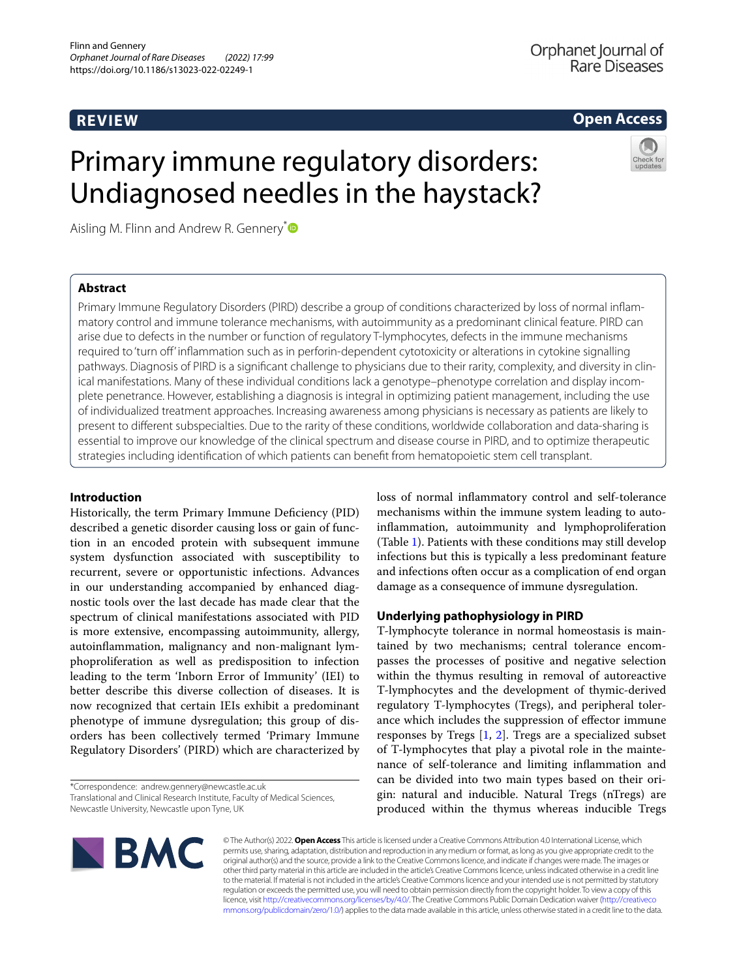# **REVIEW**

# **Open Access**

# Primary immune regulatory disorders: Undiagnosed needles in the haystack?

Aisling M. Flinn and Andrew R. Gennery<sup>[\\*](http://orcid.org/0000-0002-6218-1324)</sup>

## **Abstract**

Primary Immune Regulatory Disorders (PIRD) describe a group of conditions characterized by loss of normal infammatory control and immune tolerance mechanisms, with autoimmunity as a predominant clinical feature. PIRD can arise due to defects in the number or function of regulatory T-lymphocytes, defects in the immune mechanisms required to 'turn of' infammation such as in perforin-dependent cytotoxicity or alterations in cytokine signalling pathways. Diagnosis of PIRD is a signifcant challenge to physicians due to their rarity, complexity, and diversity in clinical manifestations. Many of these individual conditions lack a genotype–phenotype correlation and display incomplete penetrance. However, establishing a diagnosis is integral in optimizing patient management, including the use of individualized treatment approaches. Increasing awareness among physicians is necessary as patients are likely to present to diferent subspecialties. Due to the rarity of these conditions, worldwide collaboration and data-sharing is essential to improve our knowledge of the clinical spectrum and disease course in PIRD, and to optimize therapeutic strategies including identifcation of which patients can beneft from hematopoietic stem cell transplant.

## **Introduction**

Historically, the term Primary Immune Defciency (PID) described a genetic disorder causing loss or gain of function in an encoded protein with subsequent immune system dysfunction associated with susceptibility to recurrent, severe or opportunistic infections. Advances in our understanding accompanied by enhanced diagnostic tools over the last decade has made clear that the spectrum of clinical manifestations associated with PID is more extensive, encompassing autoimmunity, allergy, autoinfammation, malignancy and non-malignant lymphoproliferation as well as predisposition to infection leading to the term 'Inborn Error of Immunity' (IEI) to better describe this diverse collection of diseases. It is now recognized that certain IEIs exhibit a predominant phenotype of immune dysregulation; this group of disorders has been collectively termed 'Primary Immune Regulatory Disorders' (PIRD) which are characterized by

\*Correspondence: andrew.gennery@newcastle.ac.uk Translational and Clinical Research Institute, Faculty of Medical Sciences, Newcastle University, Newcastle upon Tyne, UK

loss of normal infammatory control and self-tolerance mechanisms within the immune system leading to autoinfammation, autoimmunity and lymphoproliferation (Table [1\)](#page-1-0). Patients with these conditions may still develop infections but this is typically a less predominant feature and infections often occur as a complication of end organ damage as a consequence of immune dysregulation.

## **Underlying pathophysiology in PIRD**

T-lymphocyte tolerance in normal homeostasis is maintained by two mechanisms; central tolerance encompasses the processes of positive and negative selection within the thymus resulting in removal of autoreactive T-lymphocytes and the development of thymic-derived regulatory T-lymphocytes (Tregs), and peripheral tolerance which includes the suppression of efector immune responses by Tregs  $[1, 2]$  $[1, 2]$  $[1, 2]$ . Tregs are a specialized subset of T-lymphocytes that play a pivotal role in the maintenance of self-tolerance and limiting infammation and can be divided into two main types based on their origin: natural and inducible. Natural Tregs (nTregs) are produced within the thymus whereas inducible Tregs



© The Author(s) 2022. **Open Access** This article is licensed under a Creative Commons Attribution 4.0 International License, which permits use, sharing, adaptation, distribution and reproduction in any medium or format, as long as you give appropriate credit to the original author(s) and the source, provide a link to the Creative Commons licence, and indicate if changes were made. The images or other third party material in this article are included in the article's Creative Commons licence, unless indicated otherwise in a credit line to the material. If material is not included in the article's Creative Commons licence and your intended use is not permitted by statutory regulation or exceeds the permitted use, you will need to obtain permission directly from the copyright holder. To view a copy of this licence, visit [http://creativecommons.org/licenses/by/4.0/.](http://creativecommons.org/licenses/by/4.0/) The Creative Commons Public Domain Dedication waiver ([http://creativeco](http://creativecommons.org/publicdomain/zero/1.0/) [mmons.org/publicdomain/zero/1.0/](http://creativecommons.org/publicdomain/zero/1.0/)) applies to the data made available in this article, unless otherwise stated in a credit line to the data.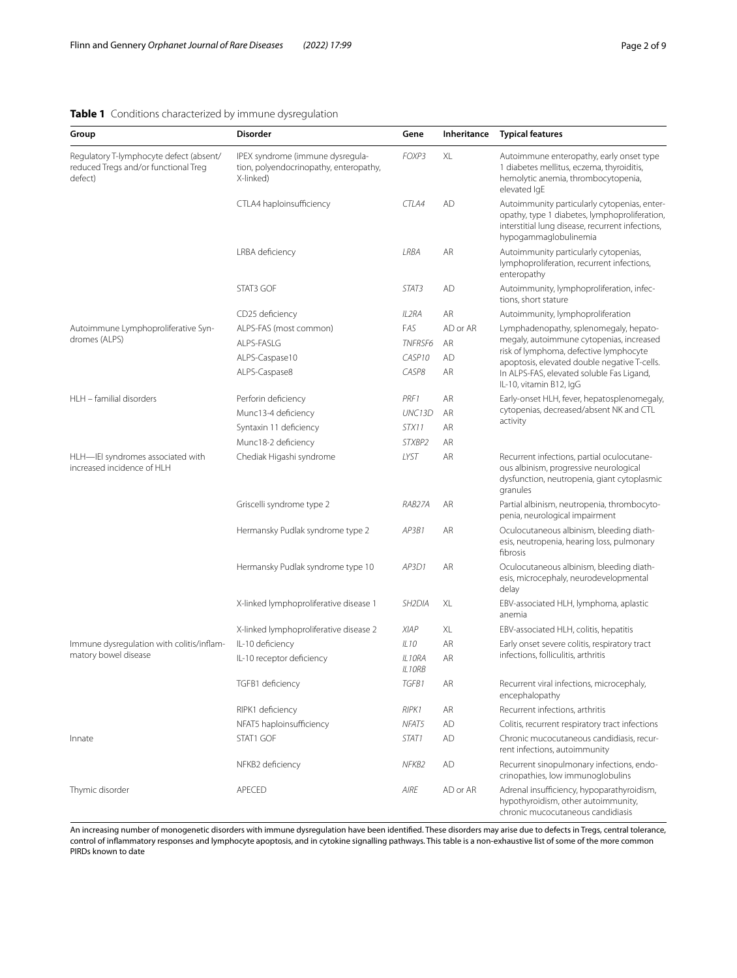## <span id="page-1-0"></span>**Table 1** Conditions characterized by immune dysregulation

| Group                                                                                      | <b>Disorder</b>                                                                         | Gene                | Inheritance | <b>Typical features</b>                                                                                                                                                                                                                              |
|--------------------------------------------------------------------------------------------|-----------------------------------------------------------------------------------------|---------------------|-------------|------------------------------------------------------------------------------------------------------------------------------------------------------------------------------------------------------------------------------------------------------|
| Regulatory T-lymphocyte defect (absent/<br>reduced Tregs and/or functional Treg<br>defect) | IPEX syndrome (immune dysregula-<br>tion, polyendocrinopathy, enteropathy,<br>X-linked) | FOXP3               | XL          | Autoimmune enteropathy, early onset type<br>1 diabetes mellitus, eczema, thyroiditis,<br>hemolytic anemia, thrombocytopenia,<br>elevated IqE                                                                                                         |
|                                                                                            | CTLA4 haploinsufficiency                                                                | CTLA4               | <b>AD</b>   | Autoimmunity particularly cytopenias, enter-<br>opathy, type 1 diabetes, lymphoproliferation,<br>interstitial lung disease, recurrent infections,<br>hypogammaglobulinemia                                                                           |
|                                                                                            | LRBA deficiency                                                                         | LRBA                | <b>AR</b>   | Autoimmunity particularly cytopenias,<br>lymphoproliferation, recurrent infections,<br>enteropathy                                                                                                                                                   |
|                                                                                            | STAT3 GOF                                                                               | STAT3               | AD          | Autoimmunity, lymphoproliferation, infec-<br>tions, short stature                                                                                                                                                                                    |
|                                                                                            | CD25 deficiency                                                                         | IL2RA               | AR          | Autoimmunity, lymphoproliferation                                                                                                                                                                                                                    |
| Autoimmune Lymphoproliferative Syn-<br>dromes (ALPS)                                       | ALPS-FAS (most common)                                                                  | FAS                 | AD or AR    | Lymphadenopathy, splenomegaly, hepato-<br>megaly, autoimmune cytopenias, increased<br>risk of lymphoma, defective lymphocyte<br>apoptosis, elevated double negative T-cells.<br>In ALPS-FAS, elevated soluble Fas Ligand,<br>IL-10, vitamin B12, IgG |
|                                                                                            | ALPS-FASLG                                                                              | <b>TNFRSF6</b>      | AR          |                                                                                                                                                                                                                                                      |
|                                                                                            | ALPS-Caspase10                                                                          | CASP10              | <b>AD</b>   |                                                                                                                                                                                                                                                      |
|                                                                                            | ALPS-Caspase8                                                                           | CASP8               | AR.         |                                                                                                                                                                                                                                                      |
| HLH - familial disorders                                                                   | Perforin deficiency                                                                     | PRF1                | AR          | Early-onset HLH, fever, hepatosplenomegaly,<br>cytopenias, decreased/absent NK and CTL<br>activity                                                                                                                                                   |
|                                                                                            | Munc13-4 deficiency                                                                     | UNC13D              | AR          |                                                                                                                                                                                                                                                      |
|                                                                                            | Syntaxin 11 deficiency                                                                  | STX11               | AR          |                                                                                                                                                                                                                                                      |
|                                                                                            | Munc18-2 deficiency                                                                     | STXBP2              | AR          |                                                                                                                                                                                                                                                      |
| HLH-IEI syndromes associated with<br>increased incidence of HLH                            | Chediak Higashi syndrome                                                                | LYST                | <b>AR</b>   | Recurrent infections, partial oculocutane-<br>ous albinism, progressive neurological<br>dysfunction, neutropenia, giant cytoplasmic<br>granules                                                                                                      |
|                                                                                            | Griscelli syndrome type 2                                                               | RAB27A              | AR          | Partial albinism, neutropenia, thrombocyto-<br>penia, neurological impairment                                                                                                                                                                        |
|                                                                                            | Hermansky Pudlak syndrome type 2                                                        | AP3B1               | AR          | Oculocutaneous albinism, bleeding diath-<br>esis, neutropenia, hearing loss, pulmonary<br>fibrosis                                                                                                                                                   |
|                                                                                            | Hermansky Pudlak syndrome type 10                                                       | AP3D1               | AR          | Oculocutaneous albinism, bleeding diath-<br>esis, microcephaly, neurodevelopmental<br>delay                                                                                                                                                          |
|                                                                                            | X-linked lymphoproliferative disease 1                                                  | SH <sub>2</sub> DIA | XL          | EBV-associated HLH, lymphoma, aplastic<br>anemia                                                                                                                                                                                                     |
|                                                                                            | X-linked lymphoproliferative disease 2                                                  | <b>XIAP</b>         | XL          | EBV-associated HLH, colitis, hepatitis                                                                                                                                                                                                               |
| Immune dysregulation with colitis/inflam-<br>matory bowel disease                          | IL-10 deficiency                                                                        | ILIO                | AR          | Early onset severe colitis, respiratory tract<br>infections, folliculitis, arthritis                                                                                                                                                                 |
|                                                                                            | IL-10 receptor deficiency                                                               | IL10RA<br>IL10RB    | AR          |                                                                                                                                                                                                                                                      |
|                                                                                            | TGFB1 deficiency                                                                        | TGFB1               | AR          | Recurrent viral infections, microcephaly,<br>encephalopathy                                                                                                                                                                                          |
|                                                                                            | RIPK1 deficiency                                                                        | RIPK1               | AR          | Recurrent infections, arthritis                                                                                                                                                                                                                      |
|                                                                                            | NFAT5 haploinsufficiency                                                                | NFAT5               | AD          | Colitis, recurrent respiratory tract infections                                                                                                                                                                                                      |
| Innate                                                                                     | STAT1 GOF                                                                               | STAT1               | AD          | Chronic mucocutaneous candidiasis, recur-<br>rent infections, autoimmunity                                                                                                                                                                           |
|                                                                                            | NFKB2 deficiency                                                                        | NFKB2               | AD          | Recurrent sinopulmonary infections, endo-<br>crinopathies, low immunoglobulins                                                                                                                                                                       |
| Thymic disorder                                                                            | APECED                                                                                  | AIRE                | AD or AR    | Adrenal insufficiency, hypoparathyroidism,<br>hypothyroidism, other autoimmunity,<br>chronic mucocutaneous candidiasis                                                                                                                               |

An increasing number of monogenetic disorders with immune dysregulation have been identifed. These disorders may arise due to defects in Tregs, central tolerance, control of infammatory responses and lymphocyte apoptosis, and in cytokine signalling pathways. This table is a non-exhaustive list of some of the more common PIRDs known to date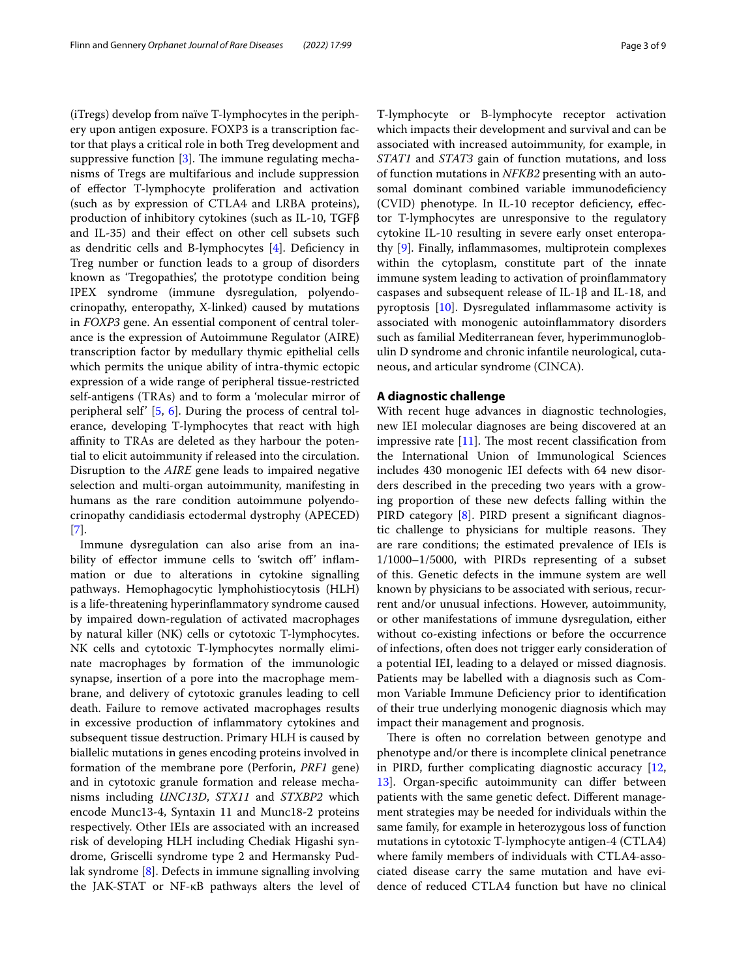(iTregs) develop from naïve T-lymphocytes in the periphery upon antigen exposure. FOXP3 is a transcription factor that plays a critical role in both Treg development and suppressive function  $[3]$  $[3]$ . The immune regulating mechanisms of Tregs are multifarious and include suppression of efector T-lymphocyte proliferation and activation (such as by expression of CTLA4 and LRBA proteins), production of inhibitory cytokines (such as IL-10, TGFβ and IL-35) and their efect on other cell subsets such as dendritic cells and B-lymphocytes [[4](#page-7-3)]. Defciency in Treg number or function leads to a group of disorders known as 'Tregopathies', the prototype condition being IPEX syndrome (immune dysregulation, polyendocrinopathy, enteropathy, X-linked) caused by mutations in *FOXP3* gene. An essential component of central tolerance is the expression of Autoimmune Regulator (AIRE) transcription factor by medullary thymic epithelial cells which permits the unique ability of intra-thymic ectopic expression of a wide range of peripheral tissue-restricted self-antigens (TRAs) and to form a 'molecular mirror of peripheral self' [[5,](#page-7-4) [6](#page-7-5)]. During the process of central tolerance, developing T-lymphocytes that react with high afnity to TRAs are deleted as they harbour the potential to elicit autoimmunity if released into the circulation. Disruption to the *AIRE* gene leads to impaired negative selection and multi-organ autoimmunity, manifesting in humans as the rare condition autoimmune polyendocrinopathy candidiasis ectodermal dystrophy (APECED) [[7\]](#page-7-6).

Immune dysregulation can also arise from an inability of effector immune cells to 'switch off' inflammation or due to alterations in cytokine signalling pathways. Hemophagocytic lymphohistiocytosis (HLH) is a life-threatening hyperinfammatory syndrome caused by impaired down-regulation of activated macrophages by natural killer (NK) cells or cytotoxic T-lymphocytes. NK cells and cytotoxic T-lymphocytes normally eliminate macrophages by formation of the immunologic synapse, insertion of a pore into the macrophage membrane, and delivery of cytotoxic granules leading to cell death. Failure to remove activated macrophages results in excessive production of infammatory cytokines and subsequent tissue destruction. Primary HLH is caused by biallelic mutations in genes encoding proteins involved in formation of the membrane pore (Perforin, *PRF1* gene) and in cytotoxic granule formation and release mechanisms including *UNC13D*, *STX11* and *STXBP2* which encode Munc13-4, Syntaxin 11 and Munc18-2 proteins respectively. Other IEIs are associated with an increased risk of developing HLH including Chediak Higashi syndrome, Griscelli syndrome type 2 and Hermansky Pudlak syndrome [[8\]](#page-7-7). Defects in immune signalling involving the JAK-STAT or NF-κB pathways alters the level of T-lymphocyte or B-lymphocyte receptor activation which impacts their development and survival and can be associated with increased autoimmunity, for example, in *STAT1* and *STAT3* gain of function mutations, and loss of function mutations in *NFKB2* presenting with an autosomal dominant combined variable immunodeficiency (CVID) phenotype. In IL-10 receptor defciency, efector T-lymphocytes are unresponsive to the regulatory cytokine IL-10 resulting in severe early onset enteropathy [\[9](#page-7-8)]. Finally, infammasomes, multiprotein complexes within the cytoplasm, constitute part of the innate immune system leading to activation of proinfammatory caspases and subsequent release of IL-1β and IL-18, and pyroptosis  $[10]$  $[10]$ . Dysregulated inflammasome activity is associated with monogenic autoinfammatory disorders such as familial Mediterranean fever, hyperimmunoglobulin D syndrome and chronic infantile neurological, cutaneous, and articular syndrome (CINCA).

## **A diagnostic challenge**

With recent huge advances in diagnostic technologies, new IEI molecular diagnoses are being discovered at an impressive rate  $[11]$  $[11]$ . The most recent classification from the International Union of Immunological Sciences includes 430 monogenic IEI defects with 64 new disorders described in the preceding two years with a growing proportion of these new defects falling within the PIRD category [\[8](#page-7-7)]. PIRD present a significant diagnostic challenge to physicians for multiple reasons. They are rare conditions; the estimated prevalence of IEIs is 1/1000–1/5000, with PIRDs representing of a subset of this. Genetic defects in the immune system are well known by physicians to be associated with serious, recurrent and/or unusual infections. However, autoimmunity, or other manifestations of immune dysregulation, either without co-existing infections or before the occurrence of infections, often does not trigger early consideration of a potential IEI, leading to a delayed or missed diagnosis. Patients may be labelled with a diagnosis such as Common Variable Immune Defciency prior to identifcation of their true underlying monogenic diagnosis which may impact their management and prognosis.

There is often no correlation between genotype and phenotype and/or there is incomplete clinical penetrance in PIRD, further complicating diagnostic accuracy [[12](#page-7-11), [13\]](#page-7-12). Organ-specific autoimmunity can differ between patients with the same genetic defect. Diferent management strategies may be needed for individuals within the same family, for example in heterozygous loss of function mutations in cytotoxic T-lymphocyte antigen-4 (CTLA4) where family members of individuals with CTLA4-associated disease carry the same mutation and have evidence of reduced CTLA4 function but have no clinical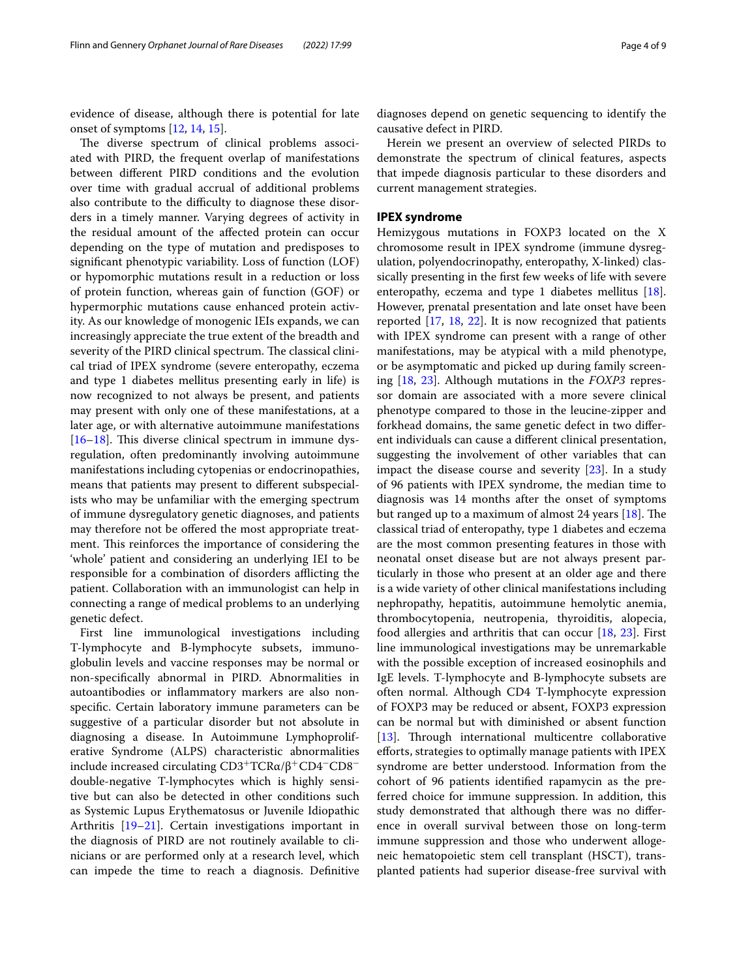evidence of disease, although there is potential for late onset of symptoms [\[12](#page-7-11), [14,](#page-7-13) [15\]](#page-7-14).

The diverse spectrum of clinical problems associated with PIRD, the frequent overlap of manifestations between diferent PIRD conditions and the evolution over time with gradual accrual of additional problems also contribute to the difficulty to diagnose these disorders in a timely manner. Varying degrees of activity in the residual amount of the afected protein can occur depending on the type of mutation and predisposes to signifcant phenotypic variability. Loss of function (LOF) or hypomorphic mutations result in a reduction or loss of protein function, whereas gain of function (GOF) or hypermorphic mutations cause enhanced protein activity. As our knowledge of monogenic IEIs expands, we can increasingly appreciate the true extent of the breadth and severity of the PIRD clinical spectrum. The classical clinical triad of IPEX syndrome (severe enteropathy, eczema and type 1 diabetes mellitus presenting early in life) is now recognized to not always be present, and patients may present with only one of these manifestations, at a later age, or with alternative autoimmune manifestations  $[16–18]$  $[16–18]$  $[16–18]$  $[16–18]$ . This diverse clinical spectrum in immune dysregulation, often predominantly involving autoimmune manifestations including cytopenias or endocrinopathies, means that patients may present to diferent subspecialists who may be unfamiliar with the emerging spectrum of immune dysregulatory genetic diagnoses, and patients may therefore not be offered the most appropriate treatment. This reinforces the importance of considering the 'whole' patient and considering an underlying IEI to be responsible for a combination of disorders afflicting the patient. Collaboration with an immunologist can help in connecting a range of medical problems to an underlying genetic defect.

First line immunological investigations including T-lymphocyte and B-lymphocyte subsets, immunoglobulin levels and vaccine responses may be normal or non-specifcally abnormal in PIRD. Abnormalities in autoantibodies or infammatory markers are also nonspecifc. Certain laboratory immune parameters can be suggestive of a particular disorder but not absolute in diagnosing a disease. In Autoimmune Lymphoproliferative Syndrome (ALPS) characteristic abnormalities include increased circulating  $CD3+TCRα/β+CD4-CD8$ double-negative T-lymphocytes which is highly sensitive but can also be detected in other conditions such as Systemic Lupus Erythematosus or Juvenile Idiopathic Arthritis [[19–](#page-7-17)[21\]](#page-7-18). Certain investigations important in the diagnosis of PIRD are not routinely available to clinicians or are performed only at a research level, which can impede the time to reach a diagnosis. Defnitive

diagnoses depend on genetic sequencing to identify the causative defect in PIRD.

Herein we present an overview of selected PIRDs to demonstrate the spectrum of clinical features, aspects that impede diagnosis particular to these disorders and current management strategies.

## **IPEX syndrome**

Hemizygous mutations in FOXP3 located on the X chromosome result in IPEX syndrome (immune dysregulation, polyendocrinopathy, enteropathy, X-linked) classically presenting in the frst few weeks of life with severe enteropathy, eczema and type 1 diabetes mellitus  $[18]$  $[18]$ . However, prenatal presentation and late onset have been reported [\[17,](#page-7-19) [18](#page-7-16), [22](#page-7-20)]. It is now recognized that patients with IPEX syndrome can present with a range of other manifestations, may be atypical with a mild phenotype, or be asymptomatic and picked up during family screening [[18](#page-7-16), [23](#page-7-21)]. Although mutations in the *FOXP3* repressor domain are associated with a more severe clinical phenotype compared to those in the leucine-zipper and forkhead domains, the same genetic defect in two diferent individuals can cause a diferent clinical presentation, suggesting the involvement of other variables that can impact the disease course and severity [\[23\]](#page-7-21). In a study of 96 patients with IPEX syndrome, the median time to diagnosis was 14 months after the onset of symptoms but ranged up to a maximum of almost 24 years  $[18]$  $[18]$  $[18]$ . The classical triad of enteropathy, type 1 diabetes and eczema are the most common presenting features in those with neonatal onset disease but are not always present particularly in those who present at an older age and there is a wide variety of other clinical manifestations including nephropathy, hepatitis, autoimmune hemolytic anemia, thrombocytopenia, neutropenia, thyroiditis, alopecia, food allergies and arthritis that can occur [\[18,](#page-7-16) [23](#page-7-21)]. First line immunological investigations may be unremarkable with the possible exception of increased eosinophils and IgE levels. T-lymphocyte and B-lymphocyte subsets are often normal. Although CD4 T-lymphocyte expression of FOXP3 may be reduced or absent, FOXP3 expression can be normal but with diminished or absent function [[13\]](#page-7-12). Through international multicentre collaborative eforts, strategies to optimally manage patients with IPEX syndrome are better understood. Information from the cohort of 96 patients identifed rapamycin as the preferred choice for immune suppression. In addition, this study demonstrated that although there was no diference in overall survival between those on long-term immune suppression and those who underwent allogeneic hematopoietic stem cell transplant (HSCT), transplanted patients had superior disease-free survival with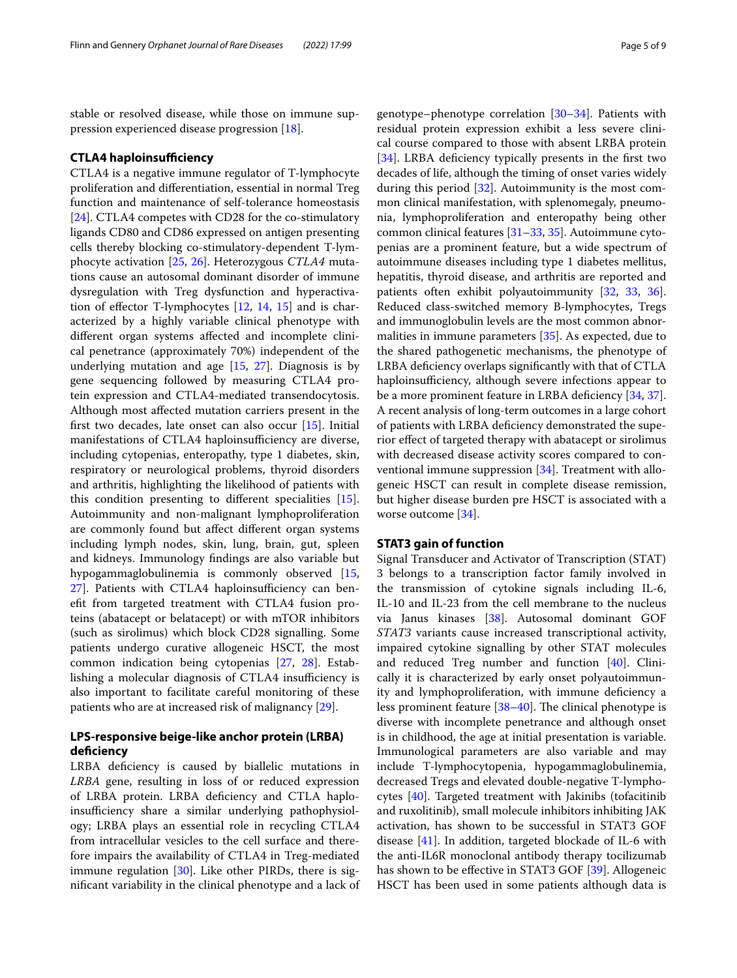stable or resolved disease, while those on immune suppression experienced disease progression [\[18](#page-7-16)].

#### **CTLA4 haploinsufficiency**

CTLA4 is a negative immune regulator of T-lymphocyte proliferation and diferentiation, essential in normal Treg function and maintenance of self-tolerance homeostasis [[24\]](#page-7-22). CTLA4 competes with CD28 for the co-stimulatory ligands CD80 and CD86 expressed on antigen presenting cells thereby blocking co-stimulatory-dependent T-lymphocyte activation [\[25](#page-7-23), [26](#page-7-24)]. Heterozygous *CTLA4* mutations cause an autosomal dominant disorder of immune dysregulation with Treg dysfunction and hyperactivation of efector T-lymphocytes [\[12,](#page-7-11) [14,](#page-7-13) [15](#page-7-14)] and is characterized by a highly variable clinical phenotype with diferent organ systems afected and incomplete clinical penetrance (approximately 70%) independent of the underlying mutation and age  $[15, 27]$  $[15, 27]$  $[15, 27]$  $[15, 27]$  $[15, 27]$ . Diagnosis is by gene sequencing followed by measuring CTLA4 protein expression and CTLA4-mediated transendocytosis. Although most afected mutation carriers present in the frst two decades, late onset can also occur [\[15](#page-7-14)]. Initial manifestations of CTLA4 haploinsufficiency are diverse, including cytopenias, enteropathy, type 1 diabetes, skin, respiratory or neurological problems, thyroid disorders and arthritis, highlighting the likelihood of patients with this condition presenting to diferent specialities [\[15](#page-7-14)]. Autoimmunity and non-malignant lymphoproliferation are commonly found but afect diferent organ systems including lymph nodes, skin, lung, brain, gut, spleen and kidneys. Immunology fndings are also variable but hypogammaglobulinemia is commonly observed [\[15](#page-7-14), 27. Patients with CTLA4 haploinsufficiency can beneft from targeted treatment with CTLA4 fusion proteins (abatacept or belatacept) or with mTOR inhibitors (such as sirolimus) which block CD28 signalling. Some patients undergo curative allogeneic HSCT, the most common indication being cytopenias [\[27](#page-7-25), [28\]](#page-8-0). Establishing a molecular diagnosis of CTLA4 insufficiency is also important to facilitate careful monitoring of these patients who are at increased risk of malignancy [\[29](#page-8-1)].

## **LPS‑responsive beige‑like anchor protein (LRBA) defciency**

LRBA deficiency is caused by biallelic mutations in *LRBA* gene, resulting in loss of or reduced expression of LRBA protein. LRBA defciency and CTLA haploinsufficiency share a similar underlying pathophysiology; LRBA plays an essential role in recycling CTLA4 from intracellular vesicles to the cell surface and therefore impairs the availability of CTLA4 in Treg-mediated immune regulation  $[30]$ . Like other PIRDs, there is signifcant variability in the clinical phenotype and a lack of genotype–phenotype correlation [\[30](#page-8-2)–[34\]](#page-8-3). Patients with residual protein expression exhibit a less severe clinical course compared to those with absent LRBA protein [[34\]](#page-8-3). LRBA deficiency typically presents in the first two decades of life, although the timing of onset varies widely during this period [\[32](#page-8-4)]. Autoimmunity is the most common clinical manifestation, with splenomegaly, pneumonia, lymphoproliferation and enteropathy being other common clinical features [[31–](#page-8-5)[33](#page-8-6), [35\]](#page-8-7). Autoimmune cytopenias are a prominent feature, but a wide spectrum of autoimmune diseases including type 1 diabetes mellitus, hepatitis, thyroid disease, and arthritis are reported and patients often exhibit polyautoimmunity [\[32,](#page-8-4) [33,](#page-8-6) [36](#page-8-8)]. Reduced class-switched memory B-lymphocytes, Tregs and immunoglobulin levels are the most common abnormalities in immune parameters [\[35](#page-8-7)]. As expected, due to the shared pathogenetic mechanisms, the phenotype of LRBA defciency overlaps signifcantly with that of CTLA haploinsufficiency, although severe infections appear to be a more prominent feature in LRBA deficiency [[34,](#page-8-3) [37](#page-8-9)]. A recent analysis of long-term outcomes in a large cohort of patients with LRBA defciency demonstrated the superior efect of targeted therapy with abatacept or sirolimus with decreased disease activity scores compared to conventional immune suppression [\[34](#page-8-3)]. Treatment with allogeneic HSCT can result in complete disease remission, but higher disease burden pre HSCT is associated with a worse outcome [[34](#page-8-3)].

#### **STAT3 gain of function**

Signal Transducer and Activator of Transcription (STAT) 3 belongs to a transcription factor family involved in the transmission of cytokine signals including IL-6, IL-10 and IL-23 from the cell membrane to the nucleus via Janus kinases [[38\]](#page-8-10). Autosomal dominant GOF *STAT3* variants cause increased transcriptional activity, impaired cytokine signalling by other STAT molecules and reduced Treg number and function [[40](#page-8-11)]. Clinically it is characterized by early onset polyautoimmunity and lymphoproliferation, with immune defciency a less prominent feature  $[38-40]$  $[38-40]$ . The clinical phenotype is diverse with incomplete penetrance and although onset is in childhood, the age at initial presentation is variable. Immunological parameters are also variable and may include T-lymphocytopenia, hypogammaglobulinemia, decreased Tregs and elevated double-negative T-lymphocytes [[40](#page-8-11)]. Targeted treatment with Jakinibs (tofacitinib and ruxolitinib), small molecule inhibitors inhibiting JAK activation, has shown to be successful in STAT3 GOF disease [[41](#page-8-12)]. In addition, targeted blockade of IL-6 with the anti-IL6R monoclonal antibody therapy tocilizumab has shown to be effective in STAT3 GOF [\[39](#page-8-13)]. Allogeneic HSCT has been used in some patients although data is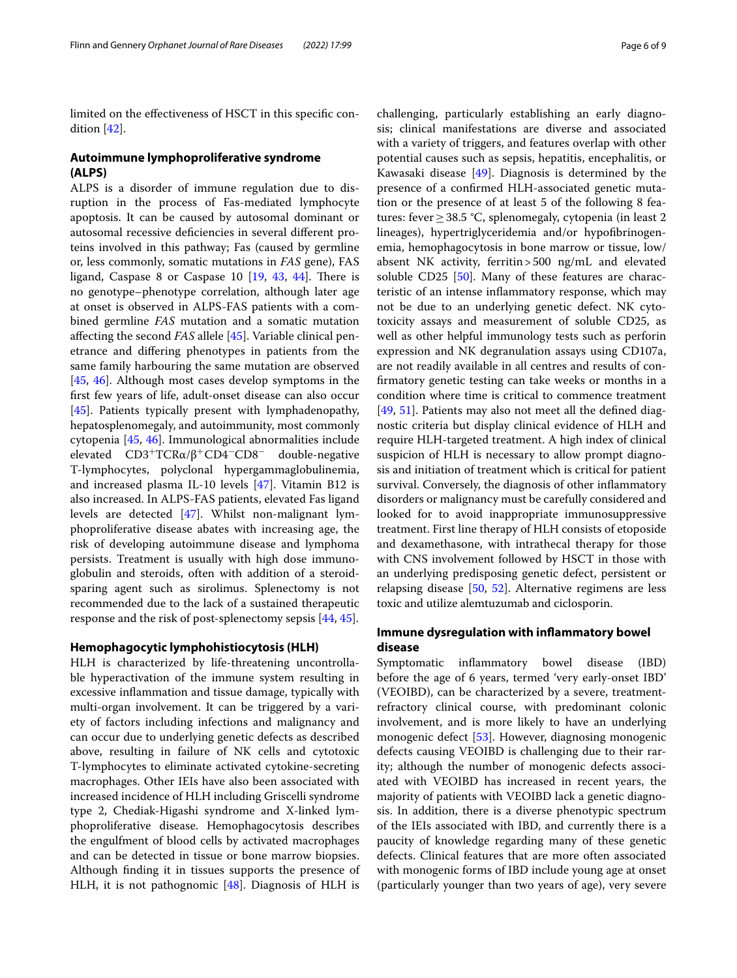limited on the efectiveness of HSCT in this specifc condition [[42](#page-8-14)].

## **Autoimmune lymphoproliferative syndrome (ALPS)**

ALPS is a disorder of immune regulation due to disruption in the process of Fas-mediated lymphocyte apoptosis. It can be caused by autosomal dominant or autosomal recessive defciencies in several diferent proteins involved in this pathway; Fas (caused by germline or, less commonly, somatic mutations in *FAS* gene), FAS ligand, Caspase 8 or Caspase 10  $[19, 43, 44]$  $[19, 43, 44]$  $[19, 43, 44]$  $[19, 43, 44]$  $[19, 43, 44]$  $[19, 43, 44]$  $[19, 43, 44]$ . There is no genotype–phenotype correlation, although later age at onset is observed in ALPS-FAS patients with a combined germline *FAS* mutation and a somatic mutation afecting the second *FAS* allele [\[45](#page-8-17)]. Variable clinical penetrance and difering phenotypes in patients from the same family harbouring the same mutation are observed [[45,](#page-8-17) [46](#page-8-18)]. Although most cases develop symptoms in the frst few years of life, adult-onset disease can also occur [[45\]](#page-8-17). Patients typically present with lymphadenopathy, hepatosplenomegaly, and autoimmunity, most commonly cytopenia [[45,](#page-8-17) [46\]](#page-8-18). Immunological abnormalities include elevated  $CD3+TCRα/β+CD4-CD8-$  double-negative T-lymphocytes, polyclonal hypergammaglobulinemia, and increased plasma IL-10 levels [[47\]](#page-8-19). Vitamin B12 is also increased. In ALPS-FAS patients, elevated Fas ligand levels are detected [[47\]](#page-8-19). Whilst non-malignant lymphoproliferative disease abates with increasing age, the risk of developing autoimmune disease and lymphoma persists. Treatment is usually with high dose immunoglobulin and steroids, often with addition of a steroidsparing agent such as sirolimus. Splenectomy is not recommended due to the lack of a sustained therapeutic response and the risk of post-splenectomy sepsis [\[44](#page-8-16), [45\]](#page-8-17).

#### **Hemophagocytic lymphohistiocytosis (HLH)**

HLH is characterized by life-threatening uncontrollable hyperactivation of the immune system resulting in excessive infammation and tissue damage, typically with multi-organ involvement. It can be triggered by a variety of factors including infections and malignancy and can occur due to underlying genetic defects as described above, resulting in failure of NK cells and cytotoxic T-lymphocytes to eliminate activated cytokine-secreting macrophages. Other IEIs have also been associated with increased incidence of HLH including Griscelli syndrome type 2, Chediak-Higashi syndrome and X-linked lymphoproliferative disease. Hemophagocytosis describes the engulfment of blood cells by activated macrophages and can be detected in tissue or bone marrow biopsies. Although fnding it in tissues supports the presence of HLH, it is not pathognomic [[48](#page-8-20)]. Diagnosis of HLH is challenging, particularly establishing an early diagnosis; clinical manifestations are diverse and associated with a variety of triggers, and features overlap with other potential causes such as sepsis, hepatitis, encephalitis, or Kawasaki disease [\[49](#page-8-21)]. Diagnosis is determined by the presence of a confrmed HLH-associated genetic mutation or the presence of at least 5 of the following 8 features: fever≥38.5 °C, splenomegaly, cytopenia (in least 2 lineages), hypertriglyceridemia and/or hypofbrinogenemia, hemophagocytosis in bone marrow or tissue, low/ absent NK activity, ferritin>500 ng/mL and elevated soluble CD25 [\[50](#page-8-22)]. Many of these features are characteristic of an intense infammatory response, which may not be due to an underlying genetic defect. NK cytotoxicity assays and measurement of soluble CD25, as well as other helpful immunology tests such as perforin expression and NK degranulation assays using CD107a, are not readily available in all centres and results of confrmatory genetic testing can take weeks or months in a condition where time is critical to commence treatment [[49,](#page-8-21) [51\]](#page-8-23). Patients may also not meet all the defned diagnostic criteria but display clinical evidence of HLH and require HLH-targeted treatment. A high index of clinical suspicion of HLH is necessary to allow prompt diagnosis and initiation of treatment which is critical for patient survival. Conversely, the diagnosis of other infammatory disorders or malignancy must be carefully considered and looked for to avoid inappropriate immunosuppressive treatment. First line therapy of HLH consists of etoposide and dexamethasone, with intrathecal therapy for those with CNS involvement followed by HSCT in those with an underlying predisposing genetic defect, persistent or relapsing disease [[50,](#page-8-22) [52](#page-8-24)]. Alternative regimens are less toxic and utilize alemtuzumab and ciclosporin.

## **Immune dysregulation with infammatory bowel disease**

Symptomatic infammatory bowel disease (IBD) before the age of 6 years, termed 'very early-onset IBD' (VEOIBD), can be characterized by a severe, treatmentrefractory clinical course, with predominant colonic involvement, and is more likely to have an underlying monogenic defect [[53\]](#page-8-25). However, diagnosing monogenic defects causing VEOIBD is challenging due to their rarity; although the number of monogenic defects associated with VEOIBD has increased in recent years, the majority of patients with VEOIBD lack a genetic diagnosis. In addition, there is a diverse phenotypic spectrum of the IEIs associated with IBD, and currently there is a paucity of knowledge regarding many of these genetic defects. Clinical features that are more often associated with monogenic forms of IBD include young age at onset (particularly younger than two years of age), very severe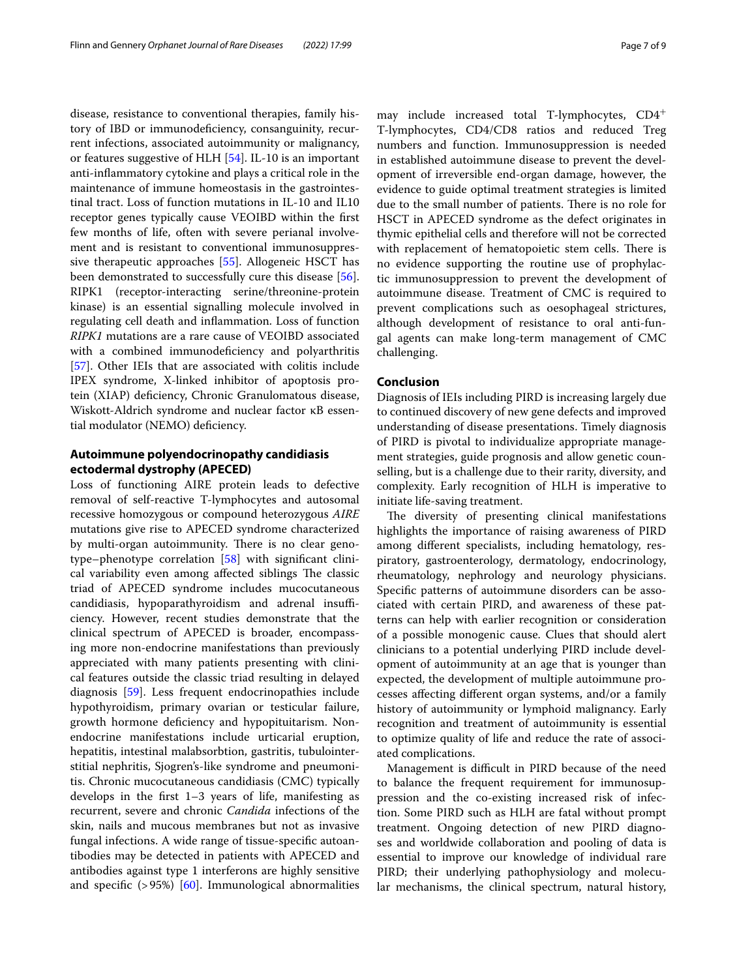disease, resistance to conventional therapies, family history of IBD or immunodefciency, consanguinity, recurrent infections, associated autoimmunity or malignancy, or features suggestive of HLH [[54](#page-8-26)]. IL-10 is an important anti-infammatory cytokine and plays a critical role in the maintenance of immune homeostasis in the gastrointestinal tract. Loss of function mutations in IL-10 and IL10 receptor genes typically cause VEOIBD within the frst few months of life, often with severe perianal involvement and is resistant to conventional immunosuppressive therapeutic approaches [\[55\]](#page-8-27). Allogeneic HSCT has been demonstrated to successfully cure this disease [\[56](#page-8-28)]. RIPK1 (receptor-interacting serine/threonine-protein kinase) is an essential signalling molecule involved in regulating cell death and infammation. Loss of function *RIPK1* mutations are a rare cause of VEOIBD associated with a combined immunodeficiency and polyarthritis [[57\]](#page-8-29). Other IEIs that are associated with colitis include IPEX syndrome, X-linked inhibitor of apoptosis protein (XIAP) defciency, Chronic Granulomatous disease, Wiskott-Aldrich syndrome and nuclear factor κB essential modulator (NEMO) defciency.

## **Autoimmune polyendocrinopathy candidiasis ectodermal dystrophy (APECED)**

Loss of functioning AIRE protein leads to defective removal of self-reactive T-lymphocytes and autosomal recessive homozygous or compound heterozygous *AIRE* mutations give rise to APECED syndrome characterized by multi-organ autoimmunity. There is no clear genotype–phenotype correlation [[58](#page-8-30)] with signifcant clinical variability even among affected siblings The classic triad of APECED syndrome includes mucocutaneous candidiasis, hypoparathyroidism and adrenal insufficiency. However, recent studies demonstrate that the clinical spectrum of APECED is broader, encompassing more non-endocrine manifestations than previously appreciated with many patients presenting with clinical features outside the classic triad resulting in delayed diagnosis [[59\]](#page-8-31). Less frequent endocrinopathies include hypothyroidism, primary ovarian or testicular failure, growth hormone defciency and hypopituitarism. Nonendocrine manifestations include urticarial eruption, hepatitis, intestinal malabsorbtion, gastritis, tubulointerstitial nephritis, Sjogren's-like syndrome and pneumonitis. Chronic mucocutaneous candidiasis (CMC) typically develops in the frst 1–3 years of life, manifesting as recurrent, severe and chronic *Candida* infections of the skin, nails and mucous membranes but not as invasive fungal infections. A wide range of tissue-specifc autoantibodies may be detected in patients with APECED and antibodies against type 1 interferons are highly sensitive and specific  $(>95%)$  [\[60](#page-8-32)]. Immunological abnormalities may include increased total T-lymphocytes, CD4<sup>+</sup> T-lymphocytes, CD4/CD8 ratios and reduced Treg numbers and function. Immunosuppression is needed in established autoimmune disease to prevent the development of irreversible end-organ damage, however, the evidence to guide optimal treatment strategies is limited due to the small number of patients. There is no role for HSCT in APECED syndrome as the defect originates in thymic epithelial cells and therefore will not be corrected with replacement of hematopoietic stem cells. There is no evidence supporting the routine use of prophylactic immunosuppression to prevent the development of autoimmune disease. Treatment of CMC is required to prevent complications such as oesophageal strictures, although development of resistance to oral anti-fungal agents can make long-term management of CMC challenging.

### **Conclusion**

Diagnosis of IEIs including PIRD is increasing largely due to continued discovery of new gene defects and improved understanding of disease presentations. Timely diagnosis of PIRD is pivotal to individualize appropriate management strategies, guide prognosis and allow genetic counselling, but is a challenge due to their rarity, diversity, and complexity. Early recognition of HLH is imperative to initiate life-saving treatment.

The diversity of presenting clinical manifestations highlights the importance of raising awareness of PIRD among diferent specialists, including hematology, respiratory, gastroenterology, dermatology, endocrinology, rheumatology, nephrology and neurology physicians. Specifc patterns of autoimmune disorders can be associated with certain PIRD, and awareness of these patterns can help with earlier recognition or consideration of a possible monogenic cause. Clues that should alert clinicians to a potential underlying PIRD include development of autoimmunity at an age that is younger than expected, the development of multiple autoimmune processes afecting diferent organ systems, and/or a family history of autoimmunity or lymphoid malignancy. Early recognition and treatment of autoimmunity is essential to optimize quality of life and reduce the rate of associated complications.

Management is difficult in PIRD because of the need to balance the frequent requirement for immunosuppression and the co-existing increased risk of infection. Some PIRD such as HLH are fatal without prompt treatment. Ongoing detection of new PIRD diagnoses and worldwide collaboration and pooling of data is essential to improve our knowledge of individual rare PIRD; their underlying pathophysiology and molecular mechanisms, the clinical spectrum, natural history,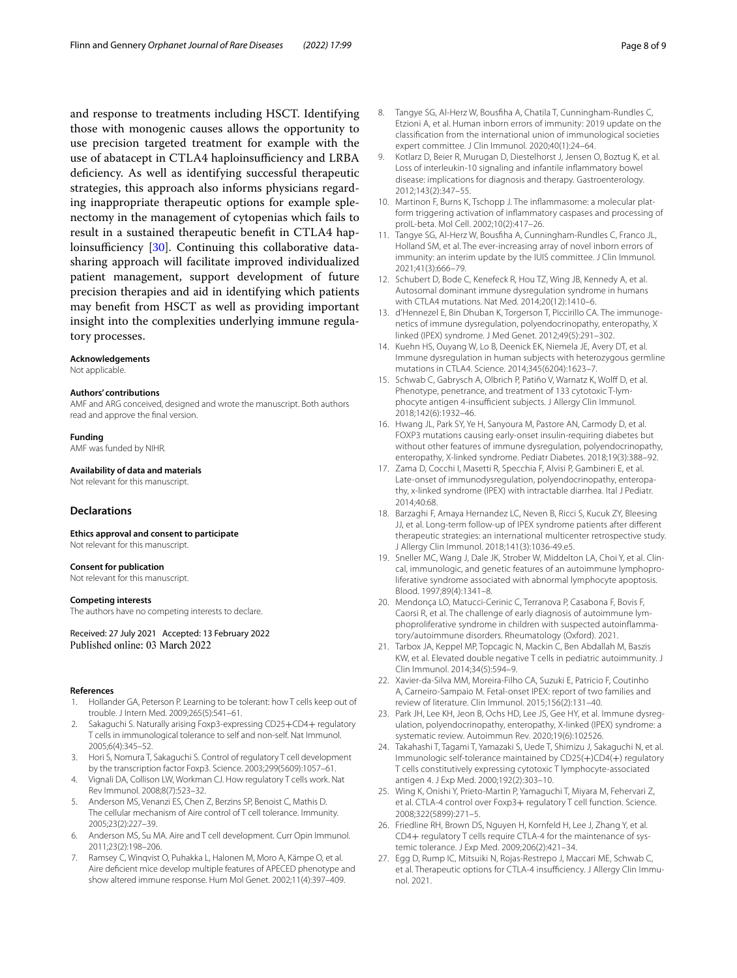and response to treatments including HSCT. Identifying those with monogenic causes allows the opportunity to use precision targeted treatment for example with the use of abatacept in CTLA4 haploinsufficiency and LRBA deficiency. As well as identifying successful therapeutic strategies, this approach also informs physicians regarding inappropriate therapeutic options for example splenectomy in the management of cytopenias which fails to result in a sustained therapeutic beneft in CTLA4 haploinsufficiency  $[30]$  $[30]$ . Continuing this collaborative datasharing approach will facilitate improved individualized patient management, support development of future precision therapies and aid in identifying which patients may beneft from HSCT as well as providing important insight into the complexities underlying immune regulatory processes.

#### **Acknowledgements**

Not applicable.

#### **Authors' contributions**

AMF and ARG conceived, designed and wrote the manuscript. Both authors read and approve the fnal version.

#### **Funding**

AMF was funded by NIHR.

**Availability of data and materials**

Not relevant for this manuscript.

## **Declarations**

**Ethics approval and consent to participate** Not relevant for this manuscript.

#### **Consent for publication**

Not relevant for this manuscript.

#### **Competing interests**

The authors have no competing interests to declare.

Received: 27 July 2021 Accepted: 13 February 2022 Published online: 03 March 2022

#### **References**

- <span id="page-7-0"></span>1. Hollander GA, Peterson P. Learning to be tolerant: how T cells keep out of trouble. J Intern Med. 2009;265(5):541–61.
- <span id="page-7-1"></span>Sakaguchi S. Naturally arising Foxp3-expressing CD25+CD4+ regulatory T cells in immunological tolerance to self and non-self. Nat Immunol. 2005;6(4):345–52.
- <span id="page-7-2"></span>3. Hori S, Nomura T, Sakaguchi S. Control of regulatory T cell development by the transcription factor Foxp3. Science. 2003;299(5609):1057–61.
- <span id="page-7-3"></span>4. Vignali DA, Collison LW, Workman CJ. How regulatory T cells work. Nat Rev Immunol. 2008;8(7):523–32.
- <span id="page-7-4"></span>5. Anderson MS, Venanzi ES, Chen Z, Berzins SP, Benoist C, Mathis D. The cellular mechanism of Aire control of T cell tolerance. Immunity. 2005;23(2):227–39.
- <span id="page-7-5"></span>6. Anderson MS, Su MA. Aire and T cell development. Curr Opin Immunol. 2011;23(2):198–206.
- <span id="page-7-6"></span>7. Ramsey C, Winqvist O, Puhakka L, Halonen M, Moro A, Kämpe O, et al. Aire defcient mice develop multiple features of APECED phenotype and show altered immune response. Hum Mol Genet. 2002;11(4):397–409.
- <span id="page-7-7"></span>8. Tangye SG, Al-Herz W, Bousfha A, Chatila T, Cunningham-Rundles C, Etzioni A, et al. Human inborn errors of immunity: 2019 update on the classifcation from the international union of immunological societies expert committee. J Clin Immunol. 2020;40(1):24–64.
- <span id="page-7-8"></span>9. Kotlarz D, Beier R, Murugan D, Diestelhorst J, Jensen O, Boztug K, et al. Loss of interleukin-10 signaling and infantile infammatory bowel disease: implications for diagnosis and therapy. Gastroenterology. 2012;143(2):347–55.
- <span id="page-7-9"></span>10. Martinon F, Burns K, Tschopp J. The infammasome: a molecular platform triggering activation of infammatory caspases and processing of proIL-beta. Mol Cell. 2002;10(2):417–26.
- <span id="page-7-10"></span>11. Tangye SG, Al-Herz W, Bousfha A, Cunningham-Rundles C, Franco JL, Holland SM, et al. The ever-increasing array of novel inborn errors of immunity: an interim update by the IUIS committee. J Clin Immunol. 2021;41(3):666–79.
- <span id="page-7-11"></span>12. Schubert D, Bode C, Kenefeck R, Hou TZ, Wing JB, Kennedy A, et al. Autosomal dominant immune dysregulation syndrome in humans with CTLA4 mutations. Nat Med. 2014;20(12):1410–6.
- <span id="page-7-12"></span>13. d'Hennezel E, Bin Dhuban K, Torgerson T, Piccirillo CA. The immunogenetics of immune dysregulation, polyendocrinopathy, enteropathy, X linked (IPEX) syndrome. J Med Genet. 2012;49(5):291–302.
- <span id="page-7-13"></span>14. Kuehn HS, Ouyang W, Lo B, Deenick EK, Niemela JE, Avery DT, et al. Immune dysregulation in human subjects with heterozygous germline mutations in CTLA4. Science. 2014;345(6204):1623–7.
- <span id="page-7-14"></span>15. Schwab C, Gabrysch A, Olbrich P, Patiño V, Warnatz K, Wolff D, et al. Phenotype, penetrance, and treatment of 133 cytotoxic T-lymphocyte antigen 4-insufficient subjects. J Allergy Clin Immunol. 2018;142(6):1932–46.
- <span id="page-7-15"></span>16. Hwang JL, Park SY, Ye H, Sanyoura M, Pastore AN, Carmody D, et al. FOXP3 mutations causing early-onset insulin-requiring diabetes but without other features of immune dysregulation, polyendocrinopathy, enteropathy, X-linked syndrome. Pediatr Diabetes. 2018;19(3):388–92.
- <span id="page-7-19"></span>17. Zama D, Cocchi I, Masetti R, Specchia F, Alvisi P, Gambineri E, et al. Late-onset of immunodysregulation, polyendocrinopathy, enteropathy, x-linked syndrome (IPEX) with intractable diarrhea. Ital J Pediatr. 2014;40:68.
- <span id="page-7-16"></span>18. Barzaghi F, Amaya Hernandez LC, Neven B, Ricci S, Kucuk ZY, Bleesing JJ, et al. Long-term follow-up of IPEX syndrome patients after diferent therapeutic strategies: an international multicenter retrospective study. J Allergy Clin Immunol. 2018;141(3):1036-49.e5.
- <span id="page-7-17"></span>19. Sneller MC, Wang J, Dale JK, Strober W, Middelton LA, Choi Y, et al. Clincal, immunologic, and genetic features of an autoimmune lymphoproliferative syndrome associated with abnormal lymphocyte apoptosis. Blood. 1997;89(4):1341–8.
- 20. Mendonça LO, Matucci-Cerinic C, Terranova P, Casabona F, Bovis F, Caorsi R, et al. The challenge of early diagnosis of autoimmune lymphoproliferative syndrome in children with suspected autoinfammatory/autoimmune disorders. Rheumatology (Oxford). 2021.
- <span id="page-7-18"></span>21. Tarbox JA, Keppel MP, Topcagic N, Mackin C, Ben Abdallah M, Baszis KW, et al. Elevated double negative T cells in pediatric autoimmunity. J Clin Immunol. 2014;34(5):594–9.
- <span id="page-7-20"></span>22. Xavier-da-Silva MM, Moreira-Filho CA, Suzuki E, Patricio F, Coutinho A, Carneiro-Sampaio M. Fetal-onset IPEX: report of two families and review of literature. Clin Immunol. 2015;156(2):131–40.
- <span id="page-7-21"></span>23. Park JH, Lee KH, Jeon B, Ochs HD, Lee JS, Gee HY, et al. Immune dysregulation, polyendocrinopathy, enteropathy, X-linked (IPEX) syndrome: a systematic review. Autoimmun Rev. 2020;19(6):102526.
- <span id="page-7-22"></span>24. Takahashi T, Tagami T, Yamazaki S, Uede T, Shimizu J, Sakaguchi N, et al. Immunologic self-tolerance maintained by CD25(+)CD4(+) regulatory T cells constitutively expressing cytotoxic T lymphocyte-associated antigen 4. J Exp Med. 2000;192(2):303–10.
- <span id="page-7-23"></span>25. Wing K, Onishi Y, Prieto-Martin P, Yamaguchi T, Miyara M, Fehervari Z, et al. CTLA-4 control over Foxp3+ regulatory T cell function. Science. 2008;322(5899):271–5.
- <span id="page-7-24"></span>26. Friedline RH, Brown DS, Nguyen H, Kornfeld H, Lee J, Zhang Y, et al. CD4+ regulatory T cells require CTLA-4 for the maintenance of systemic tolerance. J Exp Med. 2009;206(2):421–34.
- <span id="page-7-25"></span>27. Egg D, Rump IC, Mitsuiki N, Rojas-Restrepo J, Maccari ME, Schwab C, et al. Therapeutic options for CTLA-4 insufficiency. J Allergy Clin Immunol. 2021.